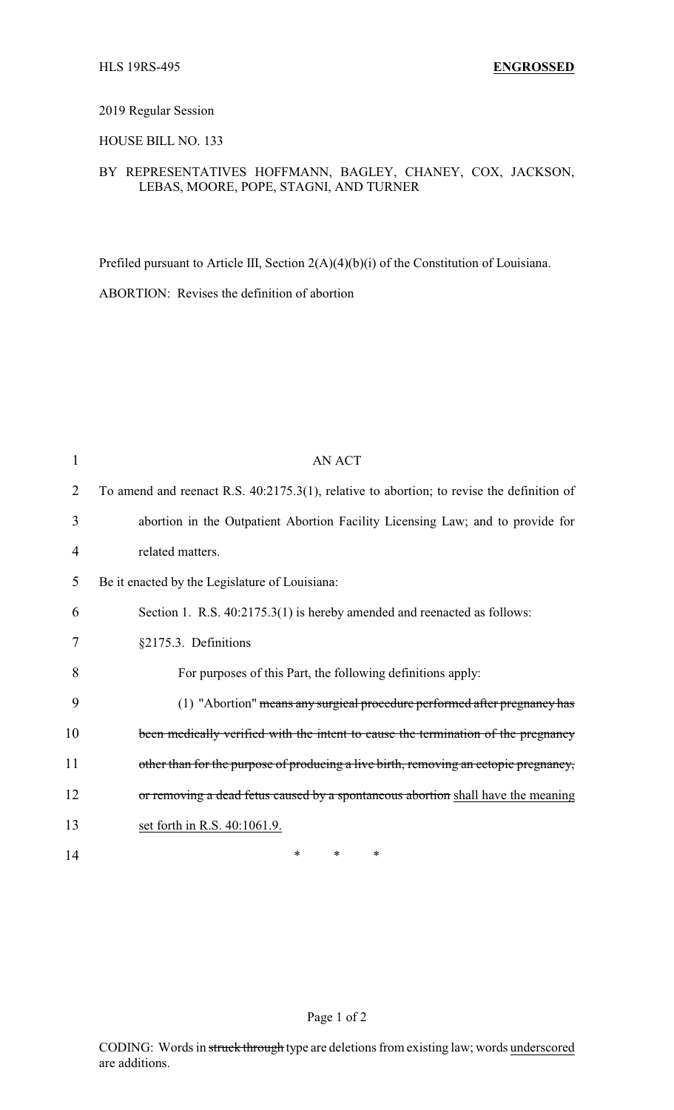## 2019 Regular Session

## HOUSE BILL NO. 133

## BY REPRESENTATIVES HOFFMANN, BAGLEY, CHANEY, COX, JACKSON, LEBAS, MOORE, POPE, STAGNI, AND TURNER

Prefiled pursuant to Article III, Section 2(A)(4)(b)(i) of the Constitution of Louisiana.

ABORTION: Revises the definition of abortion

| 1  | <b>AN ACT</b>                                                                             |
|----|-------------------------------------------------------------------------------------------|
| 2  | To amend and reenact R.S. 40:2175.3(1), relative to abortion; to revise the definition of |
| 3  | abortion in the Outpatient Abortion Facility Licensing Law; and to provide for            |
| 4  | related matters.                                                                          |
| 5  | Be it enacted by the Legislature of Louisiana:                                            |
| 6  | Section 1. R.S. 40:2175.3(1) is hereby amended and reenacted as follows:                  |
| 7  | §2175.3. Definitions                                                                      |
| 8  | For purposes of this Part, the following definitions apply:                               |
| 9  | (1) "Abortion" means any surgical procedure performed after pregnancy has                 |
| 10 | been medically verified with the intent to cause the termination of the pregnancy         |
| 11 | other than for the purpose of producing a live birth, removing an ectopic pregnancy,      |
| 12 | or removing a dead fetus caused by a spontaneous abortion shall have the meaning          |
| 13 | set forth in R.S. 40:1061.9.                                                              |
| 14 | $\ast$<br>*<br>∗                                                                          |

Page 1 of 2